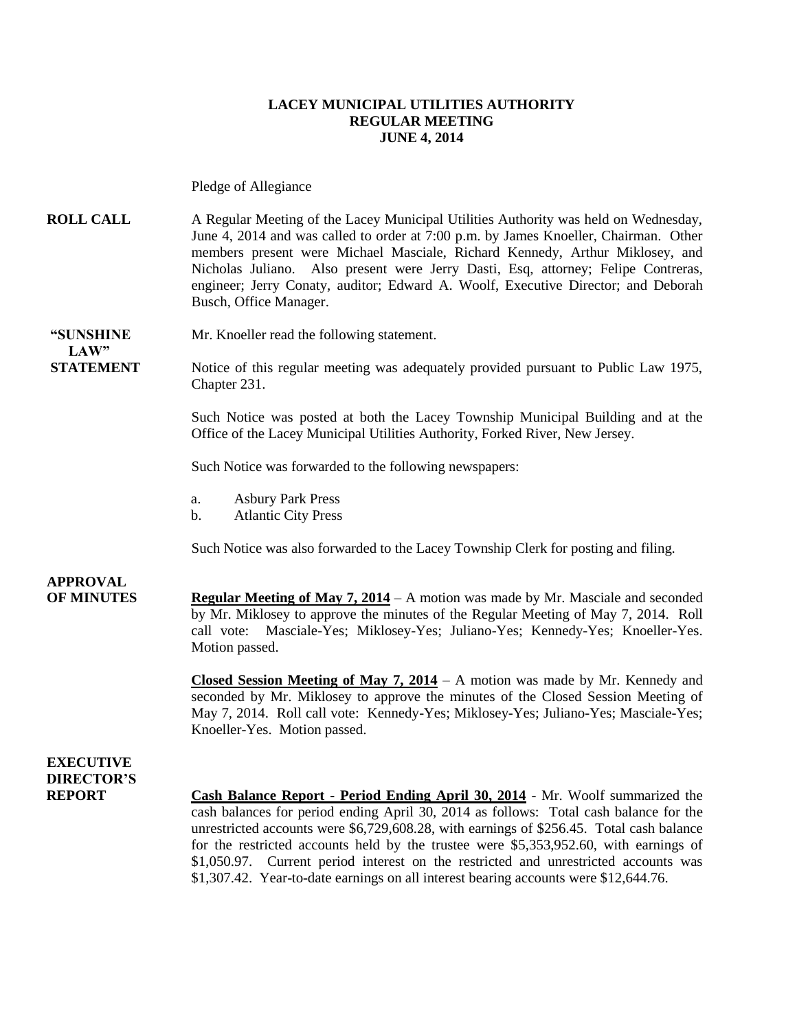#### **LACEY MUNICIPAL UTILITIES AUTHORITY REGULAR MEETING JUNE 4, 2014**

Pledge of Allegiance

**ROLL CALL** A Regular Meeting of the Lacey Municipal Utilities Authority was held on Wednesday, June 4, 2014 and was called to order at 7:00 p.m. by James Knoeller, Chairman. Other members present were Michael Masciale, Richard Kennedy, Arthur Miklosey, and Nicholas Juliano. Also present were Jerry Dasti, Esq, attorney; Felipe Contreras, engineer; Jerry Conaty, auditor; Edward A. Woolf, Executive Director; and Deborah Busch, Office Manager.

**"SUNSHINE** Mr. Knoeller read the following statement.  $LAW"$ 

**STATEMENT** Notice of this regular meeting was adequately provided pursuant to Public Law 1975, Chapter 231.

> Such Notice was posted at both the Lacey Township Municipal Building and at the Office of the Lacey Municipal Utilities Authority, Forked River, New Jersey.

Such Notice was forwarded to the following newspapers:

- a. Asbury Park Press
- b. Atlantic City Press

Such Notice was also forwarded to the Lacey Township Clerk for posting and filing.

### **APPROVAL**

**OF MINUTES Regular Meeting of May 7, 2014** – A motion was made by Mr. Masciale and seconded by Mr. Miklosey to approve the minutes of the Regular Meeting of May 7, 2014. Roll call vote: Masciale-Yes; Miklosey-Yes; Juliano-Yes; Kennedy-Yes; Knoeller-Yes. Motion passed.

> **Closed Session Meeting of May 7, 2014** – A motion was made by Mr. Kennedy and seconded by Mr. Miklosey to approve the minutes of the Closed Session Meeting of May 7, 2014. Roll call vote: Kennedy-Yes; Miklosey-Yes; Juliano-Yes; Masciale-Yes; Knoeller-Yes. Motion passed.

**EXECUTIVE DIRECTOR'S**

**REPORT Cash Balance Report - Period Ending April 30, 2014** - Mr. Woolf summarized the cash balances for period ending April 30, 2014 as follows: Total cash balance for the unrestricted accounts were \$6,729,608.28, with earnings of \$256.45. Total cash balance for the restricted accounts held by the trustee were \$5,353,952.60, with earnings of \$1,050.97. Current period interest on the restricted and unrestricted accounts was \$1,307.42. Year-to-date earnings on all interest bearing accounts were \$12,644.76.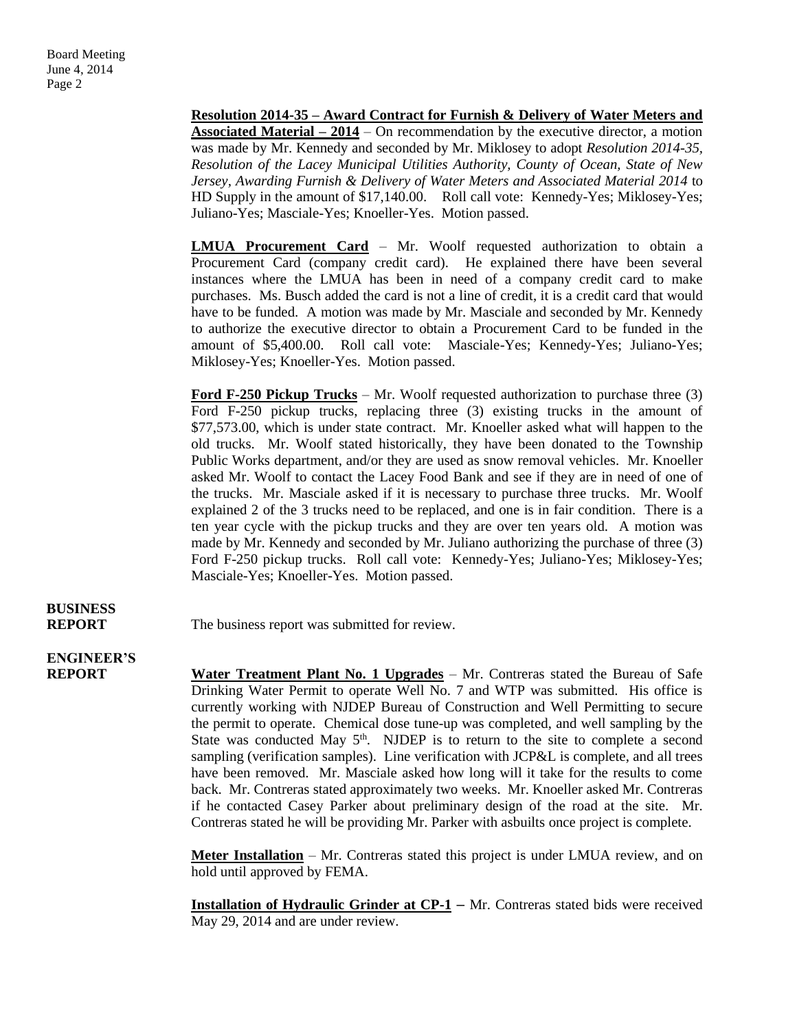**Resolution 2014-35 – Award Contract for Furnish & Delivery of Water Meters and Associated Material – 2014** – On recommendation by the executive director, a motion was made by Mr. Kennedy and seconded by Mr. Miklosey to adopt *Resolution 2014-35, Resolution of the Lacey Municipal Utilities Authority, County of Ocean, State of New Jersey, Awarding Furnish & Delivery of Water Meters and Associated Material 2014* to HD Supply in the amount of \$17,140.00.Roll call vote: Kennedy-Yes; Miklosey-Yes; Juliano-Yes; Masciale-Yes; Knoeller-Yes. Motion passed.

**LMUA Procurement Card** – Mr. Woolf requested authorization to obtain a Procurement Card (company credit card). He explained there have been several instances where the LMUA has been in need of a company credit card to make purchases. Ms. Busch added the card is not a line of credit, it is a credit card that would have to be funded. A motion was made by Mr. Masciale and seconded by Mr. Kennedy to authorize the executive director to obtain a Procurement Card to be funded in the amount of \$5,400.00. Roll call vote: Masciale-Yes; Kennedy-Yes; Juliano-Yes; Miklosey-Yes; Knoeller-Yes. Motion passed.

**Ford F-250 Pickup Trucks** – Mr. Woolf requested authorization to purchase three (3) Ford F-250 pickup trucks, replacing three (3) existing trucks in the amount of \$77,573.00, which is under state contract. Mr. Knoeller asked what will happen to the old trucks. Mr. Woolf stated historically, they have been donated to the Township Public Works department, and/or they are used as snow removal vehicles. Mr. Knoeller asked Mr. Woolf to contact the Lacey Food Bank and see if they are in need of one of the trucks. Mr. Masciale asked if it is necessary to purchase three trucks. Mr. Woolf explained 2 of the 3 trucks need to be replaced, and one is in fair condition. There is a ten year cycle with the pickup trucks and they are over ten years old. A motion was made by Mr. Kennedy and seconded by Mr. Juliano authorizing the purchase of three (3) Ford F-250 pickup trucks. Roll call vote: Kennedy-Yes; Juliano-Yes; Miklosey-Yes; Masciale-Yes; Knoeller-Yes. Motion passed.

# **BUSINESS**

**REPORT** The business report was submitted for review.

### **ENGINEER'S**

**REPORT Water Treatment Plant No. 1 Upgrades** – Mr. Contreras stated the Bureau of Safe Drinking Water Permit to operate Well No. 7 and WTP was submitted. His office is currently working with NJDEP Bureau of Construction and Well Permitting to secure the permit to operate. Chemical dose tune-up was completed, and well sampling by the State was conducted May  $5<sup>th</sup>$ . NJDEP is to return to the site to complete a second sampling (verification samples). Line verification with JCP&L is complete, and all trees have been removed. Mr. Masciale asked how long will it take for the results to come back. Mr. Contreras stated approximately two weeks. Mr. Knoeller asked Mr. Contreras if he contacted Casey Parker about preliminary design of the road at the site. Mr. Contreras stated he will be providing Mr. Parker with asbuilts once project is complete.

> **Meter Installation** – Mr. Contreras stated this project is under LMUA review, and on hold until approved by FEMA.

> **Installation of Hydraulic Grinder at CP-1** – Mr. Contreras stated bids were received May 29, 2014 and are under review.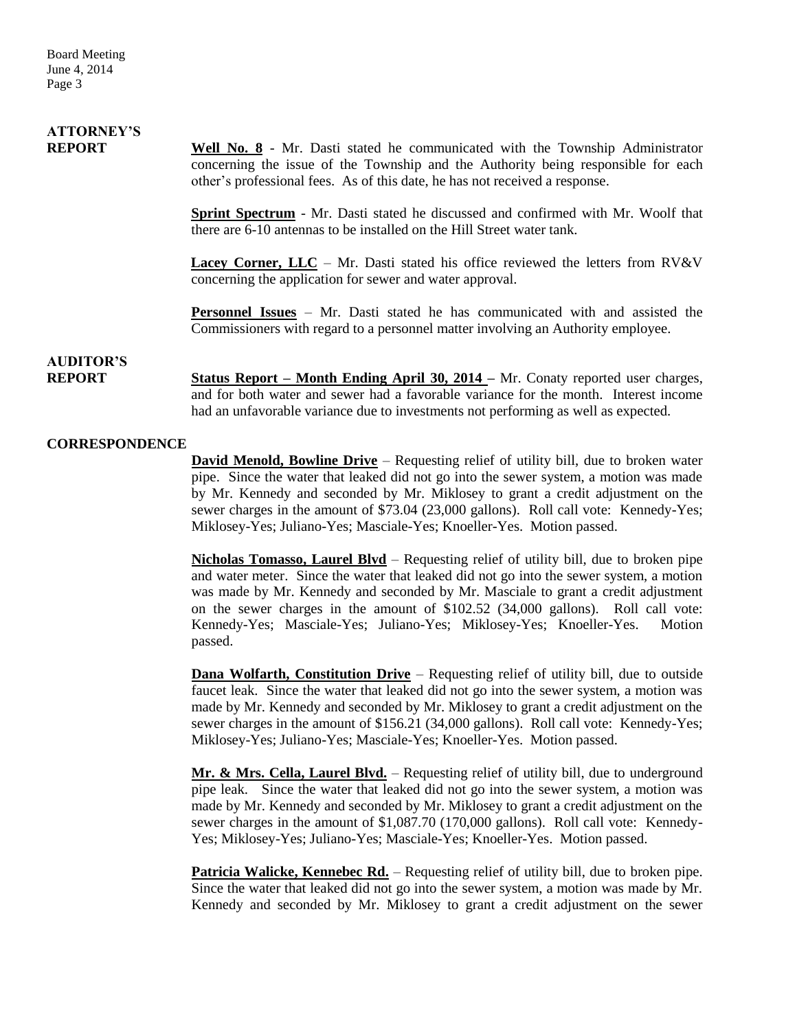# **ATTORNEY'S**

**REPORT Well No. 8** - Mr. Dasti stated he communicated with the Township Administrator concerning the issue of the Township and the Authority being responsible for each other's professional fees. As of this date, he has not received a response.

> **Sprint Spectrum** - Mr. Dasti stated he discussed and confirmed with Mr. Woolf that there are 6-10 antennas to be installed on the Hill Street water tank.

> **Lacey Corner, LLC** – Mr. Dasti stated his office reviewed the letters from RV&V concerning the application for sewer and water approval.

> **Personnel Issues** – Mr. Dasti stated he has communicated with and assisted the Commissioners with regard to a personnel matter involving an Authority employee.

### **AUDITOR'S**

**REPORT Status Report – Month Ending April 30, 2014 –** Mr. Conaty reported user charges, and for both water and sewer had a favorable variance for the month. Interest income had an unfavorable variance due to investments not performing as well as expected.

#### **CORRESPONDENCE**

**David Menold, Bowline Drive** – Requesting relief of utility bill, due to broken water pipe. Since the water that leaked did not go into the sewer system, a motion was made by Mr. Kennedy and seconded by Mr. Miklosey to grant a credit adjustment on the sewer charges in the amount of \$73.04 (23,000 gallons). Roll call vote: Kennedy-Yes; Miklosey-Yes; Juliano-Yes; Masciale-Yes; Knoeller-Yes. Motion passed.

**Nicholas Tomasso, Laurel Blvd** – Requesting relief of utility bill, due to broken pipe and water meter. Since the water that leaked did not go into the sewer system, a motion was made by Mr. Kennedy and seconded by Mr. Masciale to grant a credit adjustment on the sewer charges in the amount of \$102.52 (34,000 gallons). Roll call vote: Kennedy-Yes; Masciale-Yes; Juliano-Yes; Miklosey-Yes; Knoeller-Yes. Motion passed.

**Dana Wolfarth, Constitution Drive** – Requesting relief of utility bill, due to outside faucet leak. Since the water that leaked did not go into the sewer system, a motion was made by Mr. Kennedy and seconded by Mr. Miklosey to grant a credit adjustment on the sewer charges in the amount of \$156.21 (34,000 gallons). Roll call vote: Kennedy-Yes; Miklosey-Yes; Juliano-Yes; Masciale-Yes; Knoeller-Yes. Motion passed.

**Mr. & Mrs. Cella, Laurel Blvd.** – Requesting relief of utility bill, due to underground pipe leak. Since the water that leaked did not go into the sewer system, a motion was made by Mr. Kennedy and seconded by Mr. Miklosey to grant a credit adjustment on the sewer charges in the amount of \$1,087.70 (170,000 gallons). Roll call vote: Kennedy-Yes; Miklosey-Yes; Juliano-Yes; Masciale-Yes; Knoeller-Yes. Motion passed.

Patricia Walicke, Kennebec Rd. - Requesting relief of utility bill, due to broken pipe. Since the water that leaked did not go into the sewer system, a motion was made by Mr. Kennedy and seconded by Mr. Miklosey to grant a credit adjustment on the sewer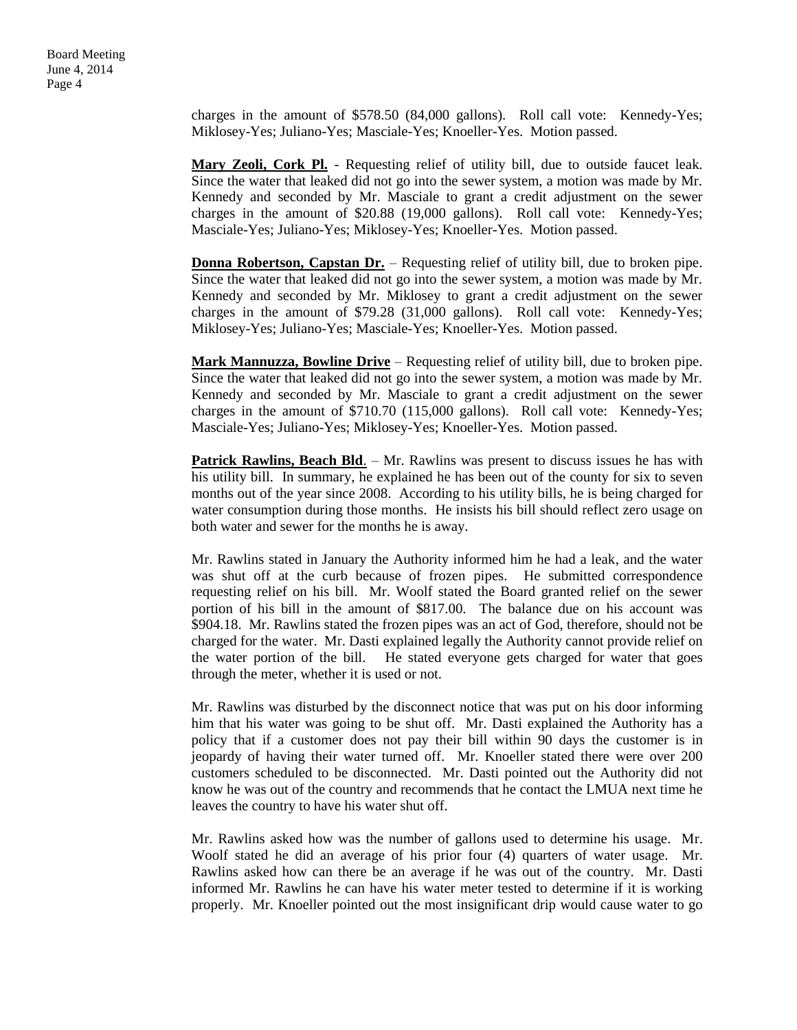Board Meeting June 4, 2014 Page 4

> charges in the amount of \$578.50 (84,000 gallons). Roll call vote: Kennedy-Yes; Miklosey-Yes; Juliano-Yes; Masciale-Yes; Knoeller-Yes. Motion passed.

> **Mary Zeoli, Cork Pl.** - Requesting relief of utility bill, due to outside faucet leak. Since the water that leaked did not go into the sewer system, a motion was made by Mr. Kennedy and seconded by Mr. Masciale to grant a credit adjustment on the sewer charges in the amount of \$20.88 (19,000 gallons). Roll call vote: Kennedy-Yes; Masciale-Yes; Juliano-Yes; Miklosey-Yes; Knoeller-Yes. Motion passed.

> **Donna Robertson, Capstan Dr.** – Requesting relief of utility bill, due to broken pipe. Since the water that leaked did not go into the sewer system, a motion was made by Mr. Kennedy and seconded by Mr. Miklosey to grant a credit adjustment on the sewer charges in the amount of \$79.28 (31,000 gallons). Roll call vote: Kennedy-Yes; Miklosey-Yes; Juliano-Yes; Masciale-Yes; Knoeller-Yes. Motion passed.

> **Mark Mannuzza, Bowline Drive** – Requesting relief of utility bill, due to broken pipe. Since the water that leaked did not go into the sewer system, a motion was made by Mr. Kennedy and seconded by Mr. Masciale to grant a credit adjustment on the sewer charges in the amount of \$710.70 (115,000 gallons). Roll call vote: Kennedy-Yes; Masciale-Yes; Juliano-Yes; Miklosey-Yes; Knoeller-Yes. Motion passed.

> **Patrick Rawlins, Beach Bld.** – Mr. Rawlins was present to discuss issues he has with his utility bill. In summary, he explained he has been out of the county for six to seven months out of the year since 2008. According to his utility bills, he is being charged for water consumption during those months. He insists his bill should reflect zero usage on both water and sewer for the months he is away.

> Mr. Rawlins stated in January the Authority informed him he had a leak, and the water was shut off at the curb because of frozen pipes. He submitted correspondence requesting relief on his bill. Mr. Woolf stated the Board granted relief on the sewer portion of his bill in the amount of \$817.00. The balance due on his account was \$904.18. Mr. Rawlins stated the frozen pipes was an act of God, therefore, should not be charged for the water. Mr. Dasti explained legally the Authority cannot provide relief on the water portion of the bill. He stated everyone gets charged for water that goes through the meter, whether it is used or not.

> Mr. Rawlins was disturbed by the disconnect notice that was put on his door informing him that his water was going to be shut off. Mr. Dasti explained the Authority has a policy that if a customer does not pay their bill within 90 days the customer is in jeopardy of having their water turned off. Mr. Knoeller stated there were over 200 customers scheduled to be disconnected. Mr. Dasti pointed out the Authority did not know he was out of the country and recommends that he contact the LMUA next time he leaves the country to have his water shut off.

> Mr. Rawlins asked how was the number of gallons used to determine his usage. Mr. Woolf stated he did an average of his prior four (4) quarters of water usage. Mr. Rawlins asked how can there be an average if he was out of the country. Mr. Dasti informed Mr. Rawlins he can have his water meter tested to determine if it is working properly. Mr. Knoeller pointed out the most insignificant drip would cause water to go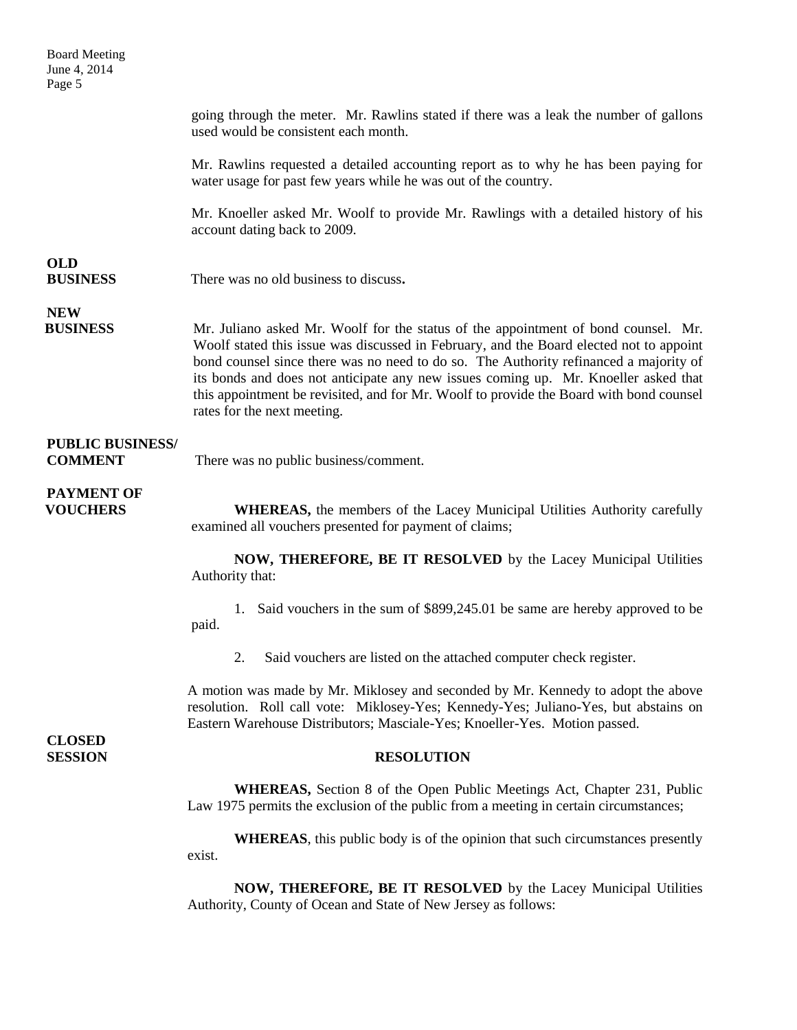Board Meeting June 4, 2014 Page 5

> going through the meter. Mr. Rawlins stated if there was a leak the number of gallons used would be consistent each month.

> Mr. Rawlins requested a detailed accounting report as to why he has been paying for water usage for past few years while he was out of the country.

> Mr. Knoeller asked Mr. Woolf to provide Mr. Rawlings with a detailed history of his account dating back to 2009.

## **OLD**

**BUSINESS** There was no old business to discuss**.**

# **NEW**

**BUSINESS** Mr. Juliano asked Mr. Woolf for the status of the appointment of bond counsel. Mr. Woolf stated this issue was discussed in February, and the Board elected not to appoint bond counsel since there was no need to do so. The Authority refinanced a majority of its bonds and does not anticipate any new issues coming up. Mr. Knoeller asked that this appointment be revisited, and for Mr. Woolf to provide the Board with bond counsel rates for the next meeting.

### **PUBLIC BUSINESS/**

**COMMENT** There was no public business/comment.

### **PAYMENT OF**

**VOUCHERS** WHEREAS, the members of the Lacey Municipal Utilities Authority carefully examined all vouchers presented for payment of claims;

> **NOW, THEREFORE, BE IT RESOLVED** by the Lacey Municipal Utilities Authority that:

> 1. Said vouchers in the sum of \$899,245.01 be same are hereby approved to be paid.

2. Said vouchers are listed on the attached computer check register.

A motion was made by Mr. Miklosey and seconded by Mr. Kennedy to adopt the above resolution. Roll call vote: Miklosey-Yes; Kennedy-Yes; Juliano-Yes, but abstains on Eastern Warehouse Distributors; Masciale-Yes; Knoeller-Yes. Motion passed.

**CLOSED** 

#### **SESSION RESOLUTION**

**WHEREAS,** Section 8 of the Open Public Meetings Act, Chapter 231, Public Law 1975 permits the exclusion of the public from a meeting in certain circumstances;

**WHEREAS**, this public body is of the opinion that such circumstances presently exist.

**NOW, THEREFORE, BE IT RESOLVED** by the Lacey Municipal Utilities Authority, County of Ocean and State of New Jersey as follows: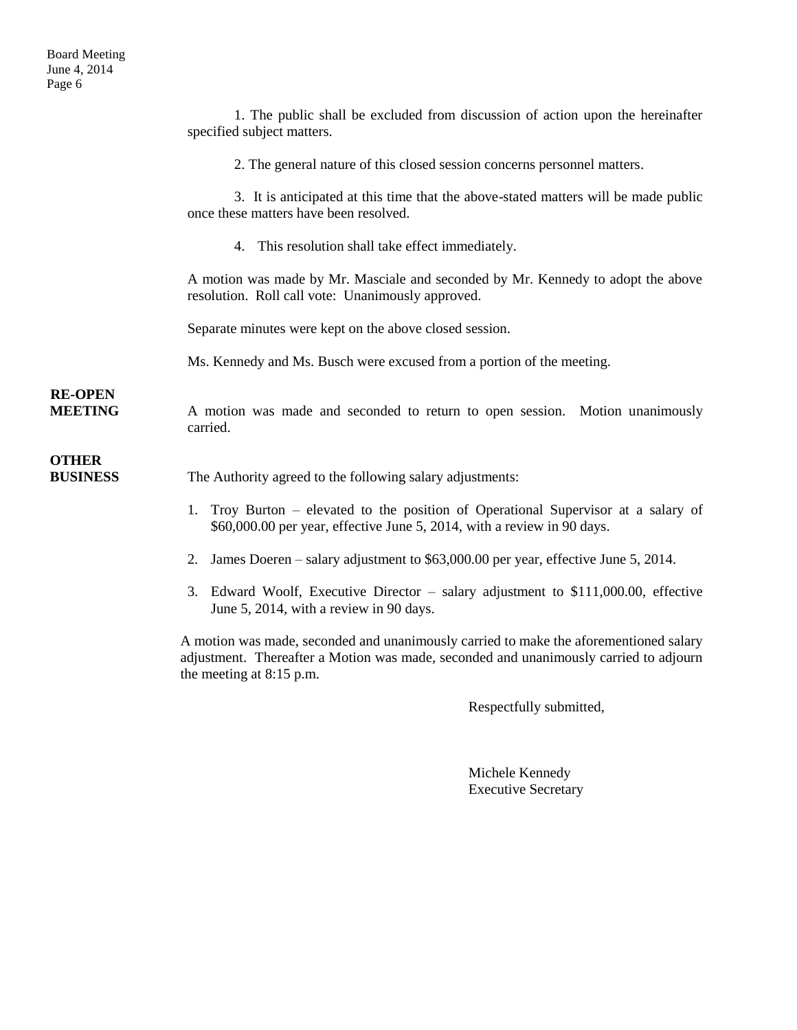|                                  | 1. The public shall be excluded from discussion of action upon the hereinafter<br>specified subject matters.                                                                   |
|----------------------------------|--------------------------------------------------------------------------------------------------------------------------------------------------------------------------------|
|                                  | 2. The general nature of this closed session concerns personnel matters.                                                                                                       |
|                                  | 3. It is anticipated at this time that the above-stated matters will be made public<br>once these matters have been resolved.                                                  |
|                                  | 4. This resolution shall take effect immediately.                                                                                                                              |
|                                  | A motion was made by Mr. Masciale and seconded by Mr. Kennedy to adopt the above<br>resolution. Roll call vote: Unanimously approved.                                          |
|                                  | Separate minutes were kept on the above closed session.                                                                                                                        |
|                                  | Ms. Kennedy and Ms. Busch were excused from a portion of the meeting.                                                                                                          |
| <b>RE-OPEN</b><br><b>MEETING</b> | A motion was made and seconded to return to open session. Motion unanimously<br>carried.                                                                                       |
| <b>OTHER</b><br><b>BUSINESS</b>  | The Authority agreed to the following salary adjustments:                                                                                                                      |
|                                  | 1. Troy Burton – elevated to the position of Operational Supervisor at a salary of<br>\$60,000.00 per year, effective June 5, 2014, with a review in 90 days.                  |
|                                  | James Doeren - salary adjustment to \$63,000.00 per year, effective June 5, 2014.<br>2.                                                                                        |
|                                  | 3. Edward Woolf, Executive Director – salary adjustment to \$111,000.00, effective<br>June 5, 2014, with a review in 90 days.                                                  |
|                                  | A motion was made, seconded and unanimously carried to make the aforementioned salary<br>adjustment. Thereafter a Motion was made, seconded and unanimously carried to adjourn |

the meeting at 8:15 p.m.

Respectfully submitted,

Michele Kennedy Executive Secretary